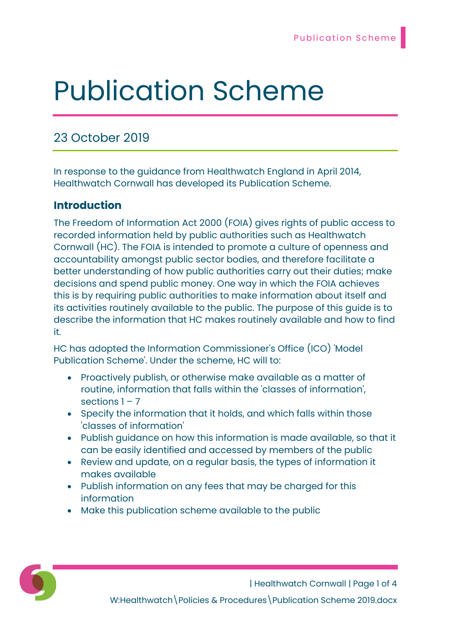# Publication Scheme

## 23 October 2019

In response to the guidance from Healthwatch England in April 2014, Healthwatch Cornwall has developed its Publication Scheme.

## **Introduction**

The Freedom of Information Act 2000 (FOIA) gives rights of public access to recorded information held by public authorities such as Healthwatch Cornwall (HC). The FOIA is intended to promote a culture of openness and accountability amongst public sector bodies, and therefore facilitate a better understanding of how public authorities carry out their duties; make decisions and spend public money. One way in which the FOIA achieves this is by requiring public authorities to make information about itself and its activities routinely available to the public. The purpose of this guide is to describe the information that HC makes routinely available and how to find it.

HC has adopted the Information Commissioner's Office (ICO) 'Model Publication Scheme'. Under the scheme, HC will to:

- Proactively publish, or otherwise make available as a matter of routine, information that falls within the 'classes of information', sections  $1 - 7$
- Specify the information that it holds, and which falls within those 'classes of information'
- Publish guidance on how this information is made available, so that it can be easily identified and accessed by members of the public
- Review and update, on a regular basis, the types of information it makes available
- Publish information on any fees that may be charged for this information
- Make this publication scheme available to the public



| Healthwatch Cornwall | Page 1 of 4 W:Healthwatch\Policies & Procedures\Publication Scheme 2019.docx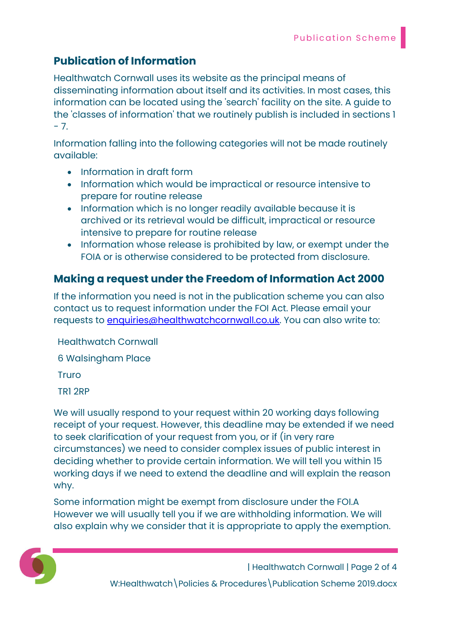## Publication of Information

Healthwatch Cornwall uses its website as the principal means of disseminating information about itself and its activities. In most cases, this information can be located using the 'search' facility on the site. A guide to the 'classes of information' that we routinely publish is included in sections 1  $- 7.$ 

Information falling into the following categories will not be made routinely available:

- Information in draft form
- Information which would be impractical or resource intensive to prepare for routine release
- Information which is no longer readily available because it is archived or its retrieval would be difficult, impractical or resource intensive to prepare for routine release
- Information whose release is prohibited by law, or exempt under the FOIA or is otherwise considered to be protected from disclosure.

## Making a request under the Freedom of Information Act 2000

If the information you need is not in the publication scheme you can also contact us to request information under the FOI Act. Please email your requests to **enquiries@healthwatchcornwall.co.uk**. You can also write to:

Healthwatch Cornwall 6 Walsingham Place **Truro** 

TR1 2RP

We will usually respond to your request within 20 working days following receipt of your request. However, this deadline may be extended if we need to seek clarification of your request from you, or if (in very rare circumstances) we need to consider complex issues of public interest in deciding whether to provide certain information. We will tell you within 15 working days if we need to extend the deadline and will explain the reason why.

Some information might be exempt from disclosure under the FOI.A However we will usually tell you if we are withholding information. We will also explain why we consider that it is appropriate to apply the exemption.



| Healthwatch Cornwall | Page 2 of 4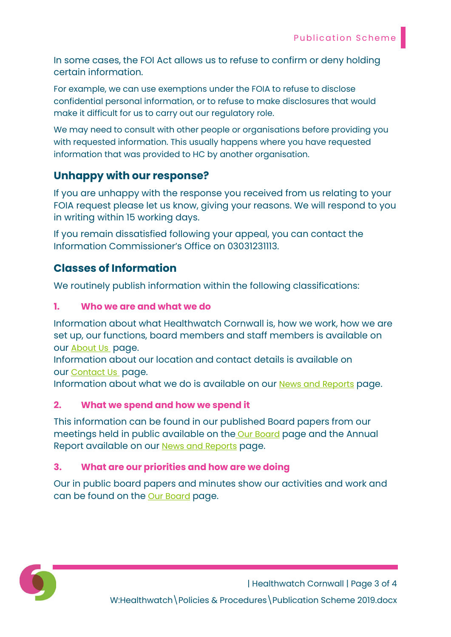In some cases, the FOI Act allows us to refuse to confirm or deny holding certain information.

For example, we can use exemptions under the FOIA to refuse to disclose confidential personal information, or to refuse to make disclosures that would make it difficult for us to carry out our regulatory role.

We may need to consult with other people or organisations before providing you with requested information. This usually happens where you have requested information that was provided to HC by another organisation.

## Unhappy with our response?

If you are unhappy with the response you received from us relating to your FOIA request please let us know, giving your reasons. We will respond to you in writing within 15 working days.

If you remain dissatisfied following your appeal, you can contact the Information Commissioner's Office on 03031231113.

## Classes of Information

We routinely publish information within the following classifications:

#### 1. Who we are and what we do

Information about what Healthwatch Cornwall is, how we work, how we are set up, our functions, board members and staff members is available on our About Us page.

Information about our location and contact details is available on our Contact Us page.

Information about what we do is available on our News and Reports page.

#### 2. What we spend and how we spend it

This information can be found in our published Board papers from our meetings held in public available on the Our Board page and the Annual Report available on our News and Reports page.

#### 3. What are our priorities and how are we doing

Our in public board papers and minutes show our activities and work and can be found on the **Our Board page.**